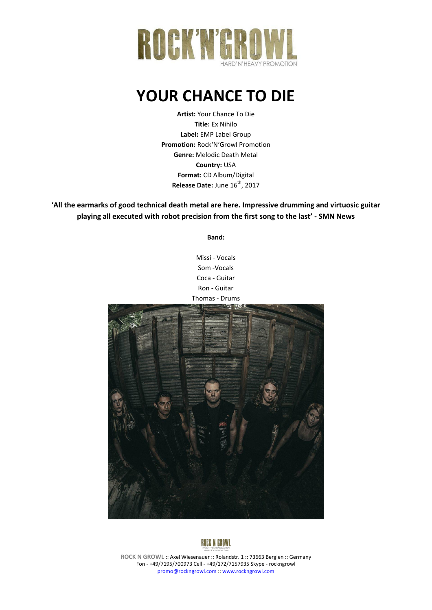

## **YOUR CHANCE TO DIE**

**Artist:** Your Chance To Die **Title:** Ex Nihilo **Label:** EMP Label Group **Promotion:** Rock'N'Growl Promotion **Genre:** Melodic Death Metal **Country:** USA **Format:** CD Album/Digital **Release Date:** June 16<sup>th</sup>, 2017

**'All the earmarks of good technical death metal are here. Impressive drumming and virtuosic guitar playing all executed with robot precision from the first song to the last' - SMN News**

**Band:**

Missi - Vocals Som -Vocals Coca - Guitar Ron - Guitar Thomas - Drums





**ROCK N GROWL** :: Axel Wiesenauer :: Rolandstr. 1 :: 73663 Berglen :: Germany Fon - +49/7195/700973 Cell - +49/172/7157935 Skype - rockngrowl [promo@rockngrowl.com](mailto:promo@rockngrowl.com) :[: www.rockngrowl.com](http://www.rockngrowl.com/)